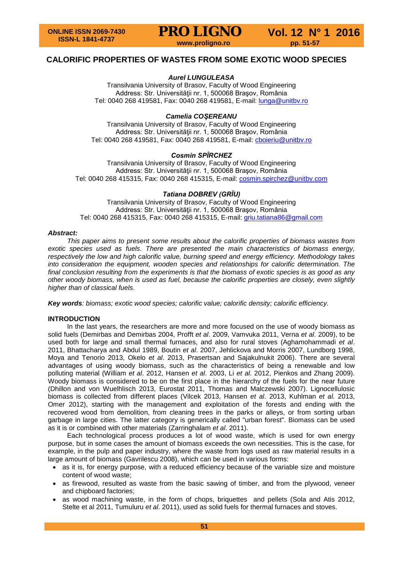# **CALORIFIC PROPERTIES OF WASTES FROM SOME EXOTIC WOOD SPECIES**

# *Aurel LUNGULEASA*

Transilvania University of Brasov, Faculty of Wood Engineering Address: Str. Universităţii nr. 1, 500068 Braşov, România Tel: 0040 268 419581, Fax: 0040 268 419581, E-mail: [lunga@unitbv.ro](mailto:lunga@unitbv.ro)

# *Camelia COŞEREANU*

Transilvania University of Brasov, Faculty of Wood Engineering Address: Str. Universităţii nr. 1, 500068 Braşov, România Tel: 0040 268 419581, Fax: 0040 268 419581, E-mail: [cboieriu@unitbv.ro](mailto:cboieriu@unitbv.ro)

## *Cosmin SPȊRCHEZ*

Transilvania University of Brasov, Faculty of Wood Engineering Address: Str. Universității nr. 1, 500068 Brașov, România Tel: 0040 268 415315, Fax: 0040 268 415315, E-mail: [cosmin.spirchez@unitbv.com](mailto:cosmin.spirchez@unitbv.com)

## *Tatiana DOBREV (GRȊU)*

Transilvania University of Brasov, Faculty of Wood Engineering Address: Str. Universităţii nr. 1, 500068 Braşov, România Tel: 0040 268 415315, Fax: 0040 268 415315, E-mail: [griu.tatiana86@gmail.com](mailto:griu.tatiana86@gmail.com)

### *Abstract:*

*This paper aims to present some results about the calorific properties of biomass wastes from exotic species used as fuels. There are presented the main characteristics of biomass energy, respectively the low and high calorific value, burning speed and energy efficiency. Methodology takes into consideration the equipment, wooden species and relationships for calorific determination. The final conclusion resulting from the experiments is that the biomass of exotic species is as good as any other woody biomass, when is used as fuel, because the calorific properties are closely, even slightly higher than of classical fuels.*

*Key words: biomass; exotic wood species; calorific value; calorific density; calorific efficiency.*

#### **INTRODUCTION**

In the last years, the researchers are more and more focused on the use of woody biomass as solid fuels (Demirbas and Demirbas 2004, Profft *et al*. 2009, Vamvuka 2011, Verna *et al*. 2009), to be used both for large and small thermal furnaces, and also for rural stoves (Aghamohammadi *et al*. 2011, Bhattacharya and Abdul 1989, Boutin *et al*. 2007, Jehlickova and Morris 2007, Lundborg 1998, Moya and Tenorio 2013, Okelo *et al*. 2013, Prasertsan and Sajakulnukit 2006). There are several advantages of using woody biomass, such as the characteristics of being a renewable and low polluting material (William *et al*. 2012, Hansen *et al*. 2003, Li *et al*. 2012, Pienkos and Zhang 2009). Woody biomass is considered to be on the first place in the hierarchy of the fuels for the near future (Dhillon and von Wuelhlisch 2013, Eurostat 2011, Thomas and Malczewski 2007). Lignocellulosic biomass is collected from different places (Vilcek 2013, Hansen *et al*. 2013, Kuhlman *et al*. 2013, Omer 2012), starting with the management and exploitation of the forests and ending with the recovered wood from demolition, from cleaning trees in the parks or alleys, or from sorting urban garbage in large cities. The latter category is generically called "urban forest". Biomass can be used as it is or combined with other materials (Zarringhalam *et al*. 2011).

Each technological process produces a lot of wood waste, which is used for own energy purpose, but in some cases the amount of biomass exceeds the own necessities. This is the case, for example, in the pulp and paper industry, where the waste from logs used as raw material results in a large amount of biomass (Gavrilescu 2008), which can be used in various forms:

- as it is, for energy purpose, with a reduced efficiency because of the variable size and moisture content of wood waste;
- as firewood, resulted as waste from the basic sawing of timber, and from the plywood, veneer and chipboard factories;
- as wood machining waste, in the form of chops, briquettes and pellets (Sola and Atis 2012, Stelte et al 2011, Tumuluru *et al*. 2011), used as solid fuels for thermal furnaces and stoves.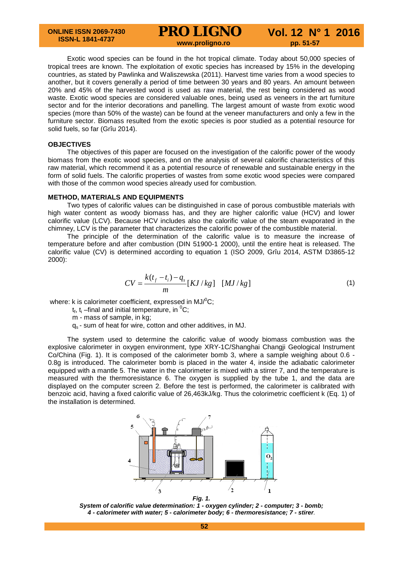Exotic wood species can be found in the hot tropical climate. Today about 50,000 species of tropical trees are known. The exploitation of exotic species has increased by 15% in the developing countries, as stated by Pawlinka and Waliszewska (2011). Harvest time varies from a wood species to another, but it covers generally a period of time between 30 years and 80 years. An amount between 20% and 45% of the harvested wood is used as raw material, the rest being considered as wood waste. Exotic wood species are considered valuable ones, being used as veneers in the art furniture sector and for the interior decorations and panelling. The largest amount of waste from exotic wood species (more than 50% of the waste) can be found at the veneer manufacturers and only a few in the furniture sector. Biomass resulted from the exotic species is poor studied as a potential resource for solid fuels, so far (Grîu 2014).

### **OBJECTIVES**

The objectives of this paper are focused on the investigation of the calorific power of the woody biomass from the exotic wood species, and on the analysis of several calorific characteristics of this raw material, which recommend it as a potential resource of renewable and sustainable energy in the form of solid fuels. The calorific properties of wastes from some exotic wood species were compared with those of the common wood species already used for combustion.

#### **METHOD, MATERIALS AND EQUIPMENTS**

Two types of calorific values can be distinguished in case of porous combustible materials with high water content as woody biomass has, and they are higher calorific value (HCV) and lower calorific value (LCV). Because HCV includes also the calorific value of the steam evaporated in the chimney, LCV is the parameter that characterizes the calorific power of the combustible material.

The principle of the determination of the calorific value is to measure the increase of temperature before and after combustion (DIN 51900-1 2000), until the entire heat is released. The calorific value (CV) is determined according to equation 1 (ISO 2009, Grîu 2014, ASTM D3865-12 2000):

$$
CV = \frac{k(t_f - t_i) - q_s}{m} [KJ/kg] \quad [MJ/kg]
$$
\n(1)

where: k is calorimeter coefficient, expressed in MJ/<sup>0</sup>C;

- $t_f$ ,  $t_i$  –final and initial temperature, in  ${}^{0}C$ ;
- m mass of sample, in kg;
- $q_s$  sum of heat for wire, cotton and other additives, in MJ.

The system used to determine the calorific value of woody biomass combustion was the explosive calorimeter in oxygen environment, type XRY-1C/Shanghai Changji Geological Instrument Co/China (Fig. 1). It is composed of the calorimeter bomb 3, where a sample weighing about 0.6 - 0.8g is introduced. The calorimeter bomb is placed in the water 4, inside the adiabatic calorimeter equipped with a mantle 5. The water in the calorimeter is mixed with a stirrer 7, and the temperature is measured with the thermoresistance 6. The oxygen is supplied by the tube 1, and the data are displayed on the computer screen 2. Before the test is performed, the calorimeter is calibrated with benzoic acid, having a fixed calorific value of 26,463kJ/kg. Thus the colorimetric coefficient k (Eq. 1) of the installation is determined.



*Fig. 1.*

*System of calorific value determination: 1 - oxygen cylinder; 2 - computer; 3 - bomb; 4 - calorimeter with water; 5 - calorimeter body; 6 - thermoresistance; 7 - stirer.*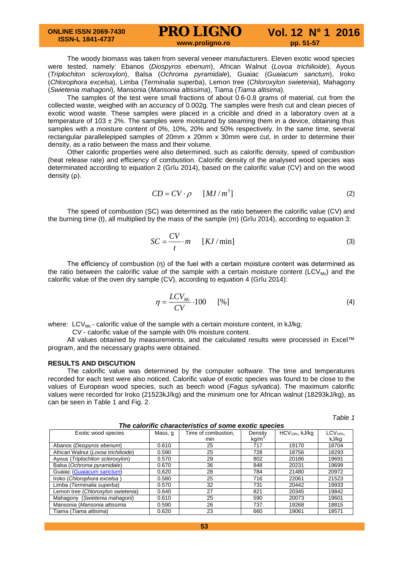The woody biomass was taken from several veneer manufacturers. Eleven exotic wood species were tested, namely: Ebanos (*Diospyros ebenum*), African Walnut (*Lovoa trichilioide*), Ayous (*Triplochiton scleroxylon*), Balsa (*Ochroma pyramidale*), Guaiac (*Guaiacum sanctum*), Iroko (*Chlorophora excelsa*), Limba (*Terminalia superba*), Lemon tree (*Chloroxylon swietenia*), Mahagony (*Swietenia mahagoni*), Mansonia (*Mansonia altissima*), Tiama (*Tiama altisima*).

The samples of the test were small fractions of about 0.6-0.8 grams of material, cut from the collected waste, weighed with an accuracy of 0.002g. The samples were fresh cut and clean pieces of exotic wood waste. These samples were placed in a cricible and dried in a laboratory oven at a temperature of 103  $\pm$  2%. The samples were moistured by steaming them in a device, obtaining thus samples with a moisture content of 0%, 10%, 20% and 50% respectively. In the same time, several rectangular parallelepiped samples of 20mm x 20mm x 30mm were cut, in order to determine their density, as a ratio between the mass and their volume.

Other calorific properties were also determined, such as calorific density, speed of combustion (heat release rate) and efficiency of combustion. Calorific density of the analysed wood species was determinated according to equation 2 (Grîu 2014), based on the calorific value (CV) and on the wood density (ρ).

$$
CD = CV \cdot \rho \qquad [MJ/m^3]
$$
 (2)

The speed of combustion (SC) was determined as the ratio between the calorific value (CV) and the burning time (t), all multiplied by the mass of the sample (m) (Grîu 2014), according to equation 3:

$$
SC = \frac{CV}{t} \cdot m \qquad [KJ / \min]
$$
 (3)

The efficiency of combustion (η) of the fuel with a certain moisture content was determined as the ratio between the calorific value of the sample with a certain moisture content ( $LCV<sub>MC</sub>$ ) and the calorific value of the oven dry sample (CV), according to equation 4 (Grîu 2014):

$$
\eta = \frac{LCV_{Mc}}{CV} \cdot 100 \qquad [\%]
$$

where:  $LCV_{Mc}$  - calorific value of the sample with a certain moisture content, in kJ/kg;

CV - calorific value of the sample with 0% moisture content.

All values obtained by measurements, and the calculated results were processed in Excel™ program, and the necessary graphs were obtained.

### **RESULTS AND DISCUTION**

The calorific value was determined by the computer software. The time and temperatures recorded for each test were also noticed. Calorific value of exotic species was found to be close to the values of European wood species, such as beech wood (*Fagus sylvatica*). The maximum calorific values were recorded for Iroko (21523kJ/kg) and the minimum one for African walnut (18293kJ/kg), as can be seen in Table 1 and Fig. 2.

*Table 1*

| The calorific characteristics of some exotic species |         |                     |                   |                      |          |  |  |  |  |  |  |  |
|------------------------------------------------------|---------|---------------------|-------------------|----------------------|----------|--|--|--|--|--|--|--|
| Exotic wood species                                  | Mass, q | Time of combustion, | Density           | $HCV_{10\%}$ , kJ/kg | $LCV10%$ |  |  |  |  |  |  |  |
|                                                      |         | min                 | kg/m <sup>3</sup> |                      | kJ/kg    |  |  |  |  |  |  |  |
| Abanos (Diospyros ebenum)                            | 0.610   | 25                  | 717               | 19170                | 18704    |  |  |  |  |  |  |  |
| African Walnut (Lovoa trichilioide)                  | 0.590   | 25<br>728           |                   | 18756<br>18293       |          |  |  |  |  |  |  |  |
| Ayous (Triplochiton scleroxylon)                     | 0.570   | 29                  | 802               | 20186                | 19691    |  |  |  |  |  |  |  |
| Balsa (Ochroma pyramidale)                           | 0.670   | 36                  | 848               | 20231                | 19699    |  |  |  |  |  |  |  |
| Guaiac (Guaiacum sanctum)                            | 0.620   | 28                  | 784               | 21480                | 20972    |  |  |  |  |  |  |  |
| Iroko (Chlorophora excelsa)                          | 0.580   | 25                  | 716               | 22061                | 21523    |  |  |  |  |  |  |  |
| Limba (Terminalia superba)                           | 0.570   | 32                  | 731               | 20442                | 19933    |  |  |  |  |  |  |  |
| Lemon tree (Chloroxylon swietenia)                   | 0.640   | 27                  | 821               | 20345                | 19842    |  |  |  |  |  |  |  |
| Mahagony (Swietenia mahagoni)                        | 0.610   | 25                  | 590               | 20073                | 19601    |  |  |  |  |  |  |  |
| Mansonia (Mansonia altissima                         | 0.590   | 26                  | 737               | 19268                | 18815    |  |  |  |  |  |  |  |
| Tiama (Tiama altisima)                               | 0.620   | 23                  | 660               | 19061                | 18571    |  |  |  |  |  |  |  |

*The calorific characteristics of some exotic species*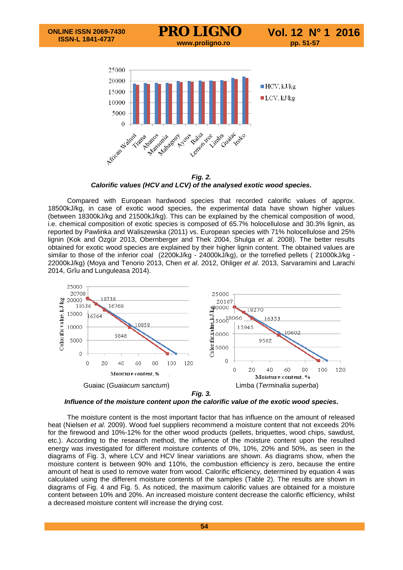

*Fig. 2. Calorific values (HCV and LCV) of the analysed exotic wood species.*

Compared with European hardwood species that recorded calorific values of approx. 18500kJ/kg, in case of exotic wood species, the experimental data have shown higher values (between 18300kJ/kg and 21500kJ/kg). This can be explained by the chemical composition of wood, i.e. chemical composition of exotic species is composed of 65.7% holocellulose and 30.3% lignin, as reported by Pawlinka and Waliszewska (2011) vs. European species with 71% holocellulose and 25% lignin (Kok and Özgür 2013, Obernberger and Thek 2004, Shulga *et al*. 2008). The better results obtained for exotic wood species are explained by their higher lignin content. The obtained values are similar to those of the inferior coal (2200kJ/kg - 24000kJ/kg), or the torrefied pellets ( 21000kJ/kg - 22000kJ/kg) (Moya and Tenorio 2013, Chen *et al*. 2012, Ohliger *et al*. 2013, Sarvaramini and Larachi 2014, Grîu and Lunguleasa 2014).





The moisture content is the most important factor that has influence on the amount of released heat (Nielsen *et al*. 2009). Wood fuel suppliers recommend a moisture content that not exceeds 20% for the firewood and 10%-12% for the other wood products (pellets, briquettes, wood chips, sawdust, etc.). According to the research method, the influence of the moisture content upon the resulted energy was investigated for different moisture contents of 0%, 10%, 20% and 50%, as seen in the diagrams of Fig. 3, where LCV and HCV linear variations are shown. As diagrams show, when the moisture content is between 90% and 110%, the combustion efficiency is zero, because the entire amount of heat is used to remove water from wood. Calorific efficiency, determined by equation 4 was calculated using the different moisture contents of the samples (Table 2). The results are shown in diagrams of Fig. 4 and Fig. 5. As noticed, the maximum calorific values are obtained for a moisture content between 10% and 20%. An increased moisture content decrease the calorific efficiency, whilst a decreased moisture content will increase the drying cost.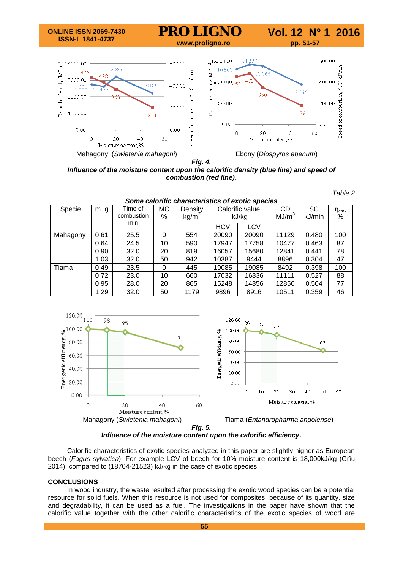

*Fig. 4.*

*Influence of the moisture content upon the calorific density (blue line) and speed of combustion (red line).*

*Some calorific characteristics of exotic species*

*Table 2*

| <u>oome caronne characteristics or exotic species</u> |      |                       |                                                |      |                           |       |                                |              |                  |  |  |  |
|-------------------------------------------------------|------|-----------------------|------------------------------------------------|------|---------------------------|-------|--------------------------------|--------------|------------------|--|--|--|
| Specie                                                | m, g | Time of<br>combustion | <b>MC</b><br>Density<br>kg/m <sup>3</sup><br>% |      | Calorific value,<br>kJ/kg |       | <b>CD</b><br>MJ/m <sup>3</sup> | SC<br>kJ/min | $\eta_{cm}$<br>% |  |  |  |
|                                                       |      | min                   |                                                |      |                           |       |                                |              |                  |  |  |  |
|                                                       |      |                       |                                                |      | <b>HCV</b>                | LCV   |                                |              |                  |  |  |  |
| Mahagony                                              | 0.61 | 25.5                  | 0                                              | 554  | 20090                     | 20090 | 11129                          | 0.480        | 100              |  |  |  |
|                                                       | 0.64 | 24.5                  | 10                                             | 590  | 17947                     | 17758 | 10477                          | 0.463        | 87               |  |  |  |
|                                                       | 0.90 | 32.0                  | 20                                             | 819  | 16057                     | 15680 | 12841                          | 0.441        | 78               |  |  |  |
|                                                       | 1.03 | 32.0                  | 50                                             | 942  | 10387                     | 9444  | 8896                           | 0.304        | 47               |  |  |  |
| Tiama                                                 | 0.49 | 23.5                  | 0                                              | 445  | 19085                     | 19085 | 8492                           | 0.398        | 100              |  |  |  |
|                                                       | 0.72 | 23.0                  | 10                                             | 660  | 17032                     | 16836 | 11111                          | 0.527        | 88               |  |  |  |
|                                                       | 0.95 | 28.0                  | 20                                             | 865  | 15248                     | 14856 | 12850                          | 0.504        | 77               |  |  |  |
|                                                       | 1.29 | 32.0                  | 50                                             | 1179 | 9896                      | 8916  | 10511                          | 0.359        | 46               |  |  |  |



#### *Influence of the moisture content upon the calorific efficiency.*

Calorific characteristics of exotic species analyzed in this paper are slightly higher as European beech (*Fagus sylvatica*). For example LCV of beech for 10% moisture content is 18,000kJ/kg (Grîu 2014), compared to (18704-21523) kJ/kg in the case of exotic species.

#### **CONCLUSIONS**

In wood industry, the waste resulted after processing the exotic wood species can be a potential resource for solid fuels. When this resource is not used for composites, because of its quantity, size and degradability, it can be used as a fuel. The investigations in the paper have shown that the calorific value together with the other calorific characteristics of the exotic species of wood are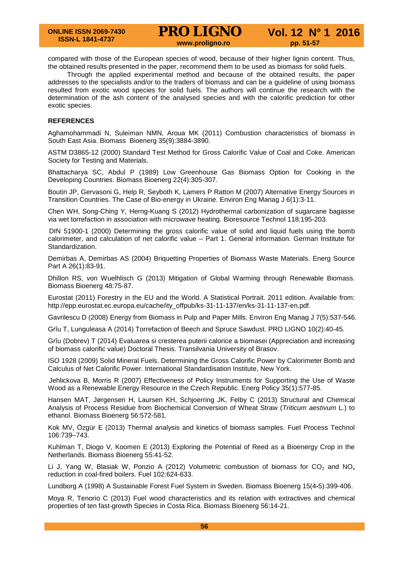compared with those of the European species of wood, because of their higher lignin content. Thus, the obtained results presented in the paper, recommend them to be used as biomass for solid fuels.

Through the applied experimental method and because of the obtained results, the paper addresses to the specialists and/or to the traders of biomass and can be a guideline of using biomass resulted from exotic wood species for solid fuels. The authors will continue the research with the determination of the ash content of the analysed species and with the calorific prediction for other exotic species.

## **REFERENCES**

Aghamohammadi N, Suleiman NMN, Aroua MK (2011) Combustion characteristics of biomass in South East Asia. Biomass Bioenerg 35(9):3884-3890.

ASTM D3865-12 (2000) Standard Test Method for Gross Calorific Value of Coal and Coke. American Society for Testing and Materials.

Bhattacharya SC, Abdul P (1989) Low Greenhouse Gas Biomass Option for Cooking in the Developing Countries. Biomass Bioenerg 22(4):305-307.

Boutin JP, Gervasoni G, Help R, Seyboth K, Lamers P Ratton M (2007) Alternative Energy Sources in Transition Countries. The Case of Bio-energy in Ukraine. Environ Eng Manag J 6(1):3-11.

Chen WH, Song-Ching Y, Herng-Kuang S (2012) Hydrothermal carbonization of sugarcane bagasse via wet torrefaction in association with microwave heating. Bioresource Technol 118:195-203.

DIN 51900-1 (2000) Determining the gross calorific value of solid and liquid fuels using the bomb calorimeter, and calculation of net calorific value – Part 1. General information. German Institute for Standardization.

Demirbas A, Demirbas AS (2004) Briquetting Properties of Biomass Waste Materials. Energ Source Part A 26(1):83-91.

Dhillon RS, von Wuelhlisch G (2013) Mitigation of Global Warming through Renewable Biomass. Biomass Bioenerg 48:75-87.

Eurostat (2011) Forestry in the EU and the World. A Statistical Portrait. 2011 edition. Available from: http://epp.eurostat.ec.europa.eu/cache/ity\_offpub/ks-31-11-137/en/ks-31-11-137-en.pdf.

Gavrilescu D (2008) Energy from Biomass in Pulp and Paper Mills. Environ Eng Manag J 7(5):537-546.

Grîu T, Lunguleasa A (2014) Torrefaction of Beech and Spruce Sawdust. PRO LIGNO 10(2):40-45.

Grîu (Dobrev) T (2014) Evaluarea si cresterea puterii calorice a biomasei (Appreciation and increasing of biomass calorific value) Doctoral Thesis. Transilvania University of Brasov.

ISO 1928 (2009) Solid Mineral Fuels. Determining the Gross Calorific Power by Calorimeter Bomb and Calculus of Net Calorific Power. International Standardisation Institute, New York.

Jehlickova B, Morris R (2007) Effectiveness of Policy Instruments for Supporting the Use of Waste Wood as a Renewable Energy Resource in the Czech Republic. Energ Policy 35(1):577-85.

Hansen MAT, Jørgensen H, Laursen KH, Schjoerring JK, Felby C (2013) Structural and Chemical Analysis of Process Residue from Biochemical Conversion of Wheat Straw (*Triticum aestivum* L.) to ethanol. Biomass Bioenerg 56:572-581.

Kok MV, Özgür E (2013) Thermal analysis and kinetics of biomass samples. Fuel Process Technol 106:739–743.

Kuhlman T, Diogo V, Koomen E (2013) Exploring the Potential of Reed as a Bioenergy Crop in the Netherlands. Biomass Bioenerg 55:41-52.

Li J, Yang W, Blasiak W, Ponzio A (2012) Volumetric combustion of biomass for  $CO<sub>2</sub>$  and NO<sub>x</sub> reduction in coal-fired boilers. Fuel 102:624-633.

Lundborg A (1998) A Sustainable Forest Fuel System in Sweden. Biomass Bioenerg 15(4**-**5):399-406.

Moya R, Tenorio C (2013) Fuel wood characteristics and its relation with extractives and chemical properties of ten fast-growth Species in Costa Rica. Biomass Bioenerg 56:14-21.